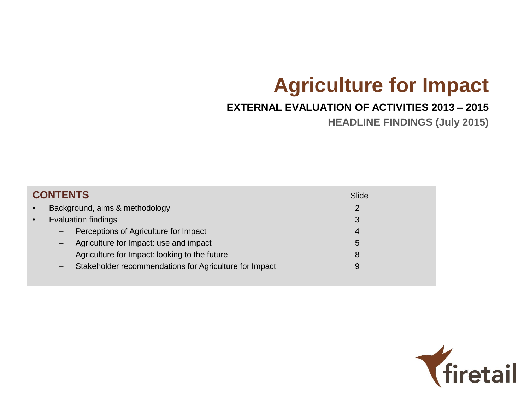# **Agriculture for Impact**

#### **EXTERNAL EVALUATION OF ACTIVITIES 2013 – 2015**

**HEADLINE FINDINGS (July 2015)** 

|           | <b>CONTENTS</b>   |                                                        | Slide |
|-----------|-------------------|--------------------------------------------------------|-------|
| $\bullet$ |                   | Background, aims & methodology                         | 2     |
| $\bullet$ |                   | <b>Evaluation findings</b>                             | 3     |
|           | $\qquad \qquad -$ | Perceptions of Agriculture for Impact                  | 4     |
|           |                   | Agriculture for Impact: use and impact                 | 5     |
|           |                   | Agriculture for Impact: looking to the future          | 8     |
|           | -                 | Stakeholder recommendations for Agriculture for Impact | 9     |
|           |                   |                                                        |       |

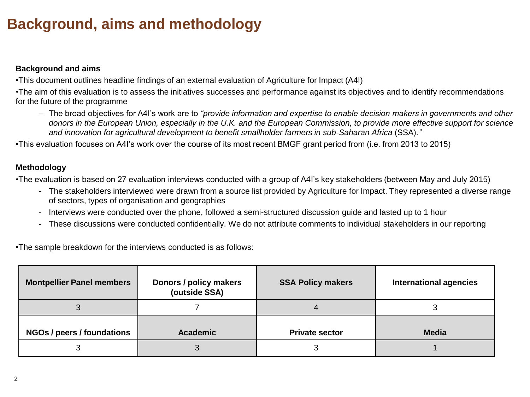## **Background, aims and methodology**

#### **Background and aims**

•This document outlines headline findings of an external evaluation of Agriculture for Impact (A4I)

•The aim of this evaluation is to assess the initiatives successes and performance against its objectives and to identify recommendations for the future of the programme

– The broad objectives for A4I's work are to *"provide information and expertise to enable decision makers in governments and other donors in the European Union, especially in the U.K. and the European Commission, to provide more effective support for science and innovation for agricultural development to benefit smallholder farmers in sub-Saharan Africa* (SSA)*."*

•This evaluation focuses on A4I's work over the course of its most recent BMGF grant period from (i.e. from 2013 to 2015)

#### **Methodology**

•The evaluation is based on 27 evaluation interviews conducted with a group of A4I's key stakeholders (between May and July 2015)

- The stakeholders interviewed were drawn from a source list provided by Agriculture for Impact. They represented a diverse range of sectors, types of organisation and geographies
- Interviews were conducted over the phone, followed a semi-structured discussion guide and lasted up to 1 hour
- These discussions were conducted confidentially. We do not attribute comments to individual stakeholders in our reporting

•The sample breakdown for the interviews conducted is as follows:

| <b>Montpellier Panel members</b> | Donors / policy makers<br>(outside SSA) | <b>SSA Policy makers</b> | <b>International agencies</b> |
|----------------------------------|-----------------------------------------|--------------------------|-------------------------------|
|                                  |                                         |                          |                               |
| NGOs / peers / foundations       | <b>Academic</b>                         | <b>Private sector</b>    | <b>Media</b>                  |
|                                  | J                                       | w                        |                               |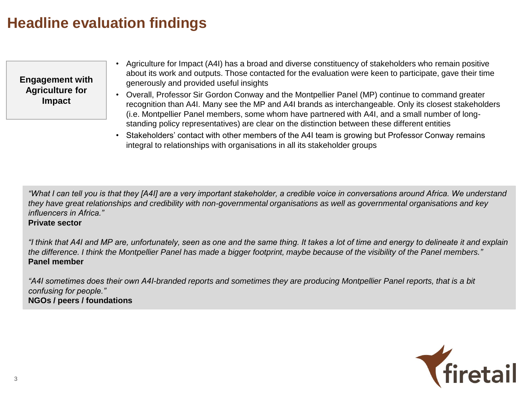**Engagement with Agriculture for Impact** 

- Agriculture for Impact (A4I) has a broad and diverse constituency of stakeholders who remain positive about its work and outputs. Those contacted for the evaluation were keen to participate, gave their time generously and provided useful insights
- Overall, Professor Sir Gordon Conway and the Montpellier Panel (MP) continue to command greater recognition than A4I. Many see the MP and A4I brands as interchangeable. Only its closest stakeholders (i.e. Montpellier Panel members, some whom have partnered with A4I, and a small number of longstanding policy representatives) are clear on the distinction between these different entities
- Stakeholders' contact with other members of the A4I team is growing but Professor Conway remains integral to relationships with organisations in all its stakeholder groups

*"What I can tell you is that they [A4I] are a very important stakeholder, a credible voice in conversations around Africa. We understand they have great relationships and credibility with non-governmental organisations as well as governmental organisations and key influencers in Africa."* 

#### **Private sector**

*"I think that A4I and MP are, unfortunately, seen as one and the same thing. It takes a lot of time and energy to delineate it and explain the difference. I think the Montpellier Panel has made a bigger footprint, maybe because of the visibility of the Panel members."* **Panel member**

*"A4I sometimes does their own A4I-branded reports and sometimes they are producing Montpellier Panel reports, that is a bit confusing for people."* **NGOs / peers / foundations** 

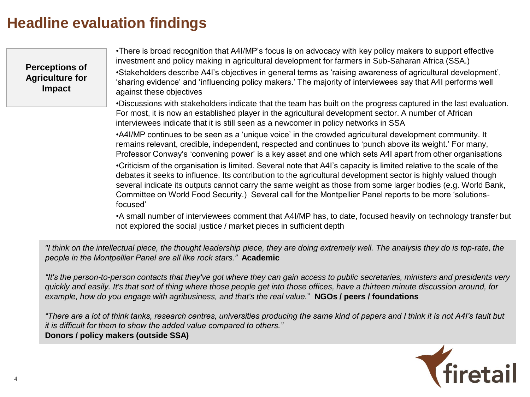**Perceptions of Agriculture for Impact**

•There is broad recognition that A4I/MP's focus is on advocacy with key policy makers to support effective investment and policy making in agricultural development for farmers in Sub-Saharan Africa (SSA.)

•Stakeholders describe A4I's objectives in general terms as 'raising awareness of agricultural development', 'sharing evidence' and 'influencing policy makers.' The majority of interviewees say that A4I performs well against these objectives

•Discussions with stakeholders indicate that the team has built on the progress captured in the last evaluation. For most, it is now an established player in the agricultural development sector. A number of African interviewees indicate that it is still seen as a newcomer in policy networks in SSA

•A4I/MP continues to be seen as a 'unique voice' in the crowded agricultural development community. It remains relevant, credible, independent, respected and continues to 'punch above its weight.' For many, Professor Conway's 'convening power' is a key asset and one which sets A4I apart from other organisations

•Criticism of the organisation is limited. Several note that A4I's capacity is limited relative to the scale of the debates it seeks to influence. Its contribution to the agricultural development sector is highly valued though several indicate its outputs cannot carry the same weight as those from some larger bodies (e.g. World Bank, Committee on World Food Security.) Several call for the Montpellier Panel reports to be more 'solutionsfocused'

•A small number of interviewees comment that A4I/MP has, to date, focused heavily on technology transfer but not explored the social justice / market pieces in sufficient depth

*"I think on the intellectual piece, the thought leadership piece, they are doing extremely well. The analysis they do is top-rate, the people in the Montpellier Panel are all like rock stars."* **Academic** 

*"It's the person-to-person contacts that they've got where they can gain access to public secretaries, ministers and presidents very quickly and easily. It's that sort of thing where those people get into those offices, have a thirteen minute discussion around, for example, how do you engage with agribusiness, and that's the real value.*" **NGOs / peers / foundations** 

*"There are a lot of think tanks, research centres, universities producing the same kind of papers and I think it is not A4I's fault but it is difficult for them to show the added value compared to others."*  **Donors / policy makers (outside SSA)** 

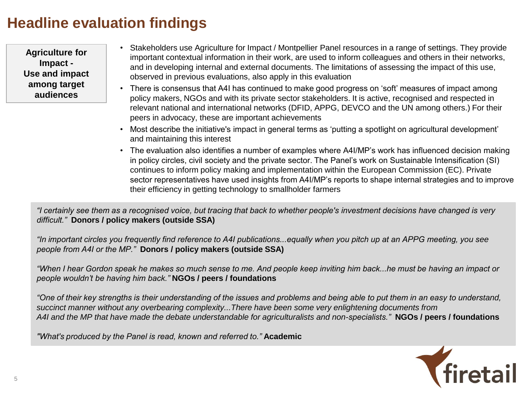**Agriculture for Impact - Use and impact among target audiences**

- Stakeholders use Agriculture for Impact / Montpellier Panel resources in a range of settings. They provide important contextual information in their work, are used to inform colleagues and others in their networks, and in developing internal and external documents. The limitations of assessing the impact of this use, observed in previous evaluations, also apply in this evaluation
- There is consensus that A4I has continued to make good progress on 'soft' measures of impact among policy makers, NGOs and with its private sector stakeholders. It is active, recognised and respected in relevant national and international networks (DFID, APPG, DEVCO and the UN among others.) For their peers in advocacy, these are important achievements
- Most describe the initiative's impact in general terms as 'putting a spotlight on agricultural development' and maintaining this interest
- The evaluation also identifies a number of examples where A4I/MP's work has influenced decision making in policy circles, civil society and the private sector. The Panel's work on Sustainable Intensification (SI) continues to inform policy making and implementation within the European Commission (EC). Private sector representatives have used insights from A4I/MP's reports to shape internal strategies and to improve their efficiency in getting technology to smallholder farmers

*"I certainly see them as a recognised voice, but tracing that back to whether people's investment decisions have changed is very difficult."* **Donors / policy makers (outside SSA)** 

*"In important circles you frequently find reference to A4I publications...equally when you pitch up at an APPG meeting, you see people from A4I or the MP."* **Donors / policy makers (outside SSA)** 

*"When I hear Gordon speak he makes so much sense to me. And people keep inviting him back...he must be having an impact or people wouldn't be having him back."* **NGOs / peers / foundations** 

*"One of their key strengths is their understanding of the issues and problems and being able to put them in an easy to understand, succinct manner without any overbearing complexity...There have been some very enlightening documents from A4I and the MP that have made the debate understandable for agriculturalists and non-specialists."* **NGOs / peers / foundations** 

*"What's produced by the Panel is read, known and referred to."* **Academic** 

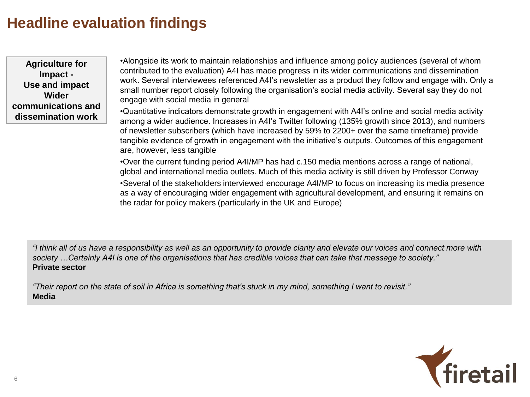**Agriculture for Impact - Use and impact Wider communications and dissemination work** 

•Alongside its work to maintain relationships and influence among policy audiences (several of whom contributed to the evaluation) A4I has made progress in its wider communications and dissemination work. Several interviewees referenced A4I's newsletter as a product they follow and engage with. Only a small number report closely following the organisation's social media activity. Several say they do not engage with social media in general

•Quantitative indicators demonstrate growth in engagement with A4I's online and social media activity among a wider audience. Increases in A4I's Twitter following (135% growth since 2013), and numbers of newsletter subscribers (which have increased by 59% to 2200+ over the same timeframe) provide tangible evidence of growth in engagement with the initiative's outputs. Outcomes of this engagement are, however, less tangible

•Over the current funding period A4I/MP has had c.150 media mentions across a range of national, global and international media outlets. Much of this media activity is still driven by Professor Conway

•Several of the stakeholders interviewed encourage A4I/MP to focus on increasing its media presence as a way of encouraging wider engagement with agricultural development, and ensuring it remains on the radar for policy makers (particularly in the UK and Europe)

*"I think all of us have a responsibility as well as an opportunity to provide clarity and elevate our voices and connect more with society …Certainly A4I is one of the organisations that has credible voices that can take that message to society."* **Private sector** 

*"Their report on the state of soil in Africa is something that's stuck in my mind, something I want to revisit."*  **Media**

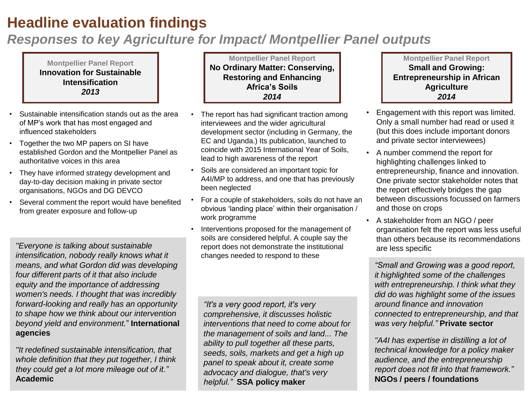#### *Responses to key Agriculture for Impact/ Montpellier Panel outputs*

**Montpellier Panel Report Innovation for Sustainable Intensification** *2013*

- Sustainable intensification stands out as the area of MP's work that has most engaged and influenced stakeholders
- Together the two MP papers on SI have established Gordon and the Montpellier Panel as authoritative voices in this area
- They have informed strategy development and day-to-day decision making in private sector organisations, NGOs and DG DEVCO
- Several comment the report would have benefited from greater exposure and follow-up

*"Everyone is talking about sustainable intensification, nobody really knows what it means, and what Gordon did was developing four different parts of it that also include equity and the importance of addressing women's needs. I thought that was incredibly forward-looking and really has an opportunity to shape how we think about our intervention beyond yield and environment.*" **International agencies** 

7 **Academic***"It redefined sustainable intensification, that whole definition that they put together, I think they could get a lot more mileage out of it."* 

**Montpellier Panel Report No Ordinary Matter: Conserving, Restoring and Enhancing Africa's Soils**  *2014*

- The report has had significant traction among interviewees and the wider agricultural development sector (including in Germany, the EC and Uganda.) Its publication, launched to coincide with 2015 International Year of Soils, lead to high awareness of the report
- Soils are considered an important topic for A4I/MP to address, and one that has previously been neglected
- For a couple of stakeholders, soils do not have an obvious 'landing place' within their organisation / work programme
- Interventions proposed for the management of soils are considered helpful. A couple say the report does not demonstrate the institutional changes needed to respond to these

*"It's a very good report, it's very comprehensive, it discusses holistic interventions that need to come about for the management of soils and land... The ability to pull together all these parts, seeds, soils, markets and get a high up panel to speak about it, create some advocacy and dialogue, that's very helpful."* **SSA policy maker** 

**Montpellier Panel Report Small and Growing: Entrepreneurship in African Agriculture**  *2014* 

- Engagement with this report was limited. Only a small number had read or used it (but this does include important donors and private sector interviewees)
- A number commend the report for highlighting challenges linked to entrepreneurship, finance and innovation. One private sector stakeholder notes that the report effectively bridges the gap between discussions focussed on farmers and those on crops
- A stakeholder from an NGO / peer organisation felt the report was less useful than others because its recommendations are less specific

*"Small and Growing was a good report, it highlighted some of the challenges with entrepreneurship. I think what they did do was highlight some of the issues around finance and innovation connected to entrepreneurship, and that was very helpful."* **Private sector**

*"A4I has expertise in distilling a lot of technical knowledge for a policy maker audience, and the entrepreneurship report does not fit into that framework."*  **NGOs / peers / foundations**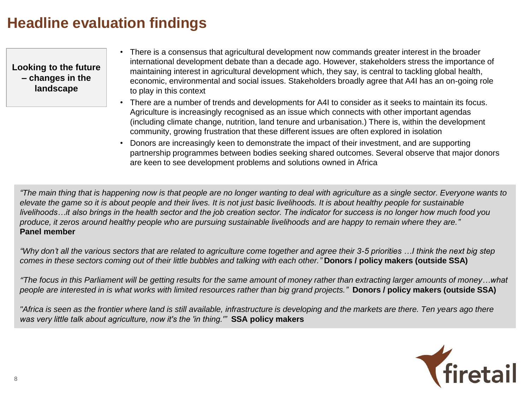**Looking to the future – changes in the landscape**

- There is a consensus that agricultural development now commands greater interest in the broader international development debate than a decade ago. However, stakeholders stress the importance of maintaining interest in agricultural development which, they say, is central to tackling global health, economic, environmental and social issues. Stakeholders broadly agree that A4I has an on-going role to play in this context
- There are a number of trends and developments for A4I to consider as it seeks to maintain its focus. Agriculture is increasingly recognised as an issue which connects with other important agendas (including climate change, nutrition, land tenure and urbanisation.) There is, within the development community, growing frustration that these different issues are often explored in isolation
- Donors are increasingly keen to demonstrate the impact of their investment, and are supporting partnership programmes between bodies seeking shared outcomes. Several observe that major donors are keen to see development problems and solutions owned in Africa

*"The main thing that is happening now is that people are no longer wanting to deal with agriculture as a single sector. Everyone wants to elevate the game so it is about people and their lives. It is not just basic livelihoods. It is about healthy people for sustainable livelihoods…it also brings in the health sector and the job creation sector. The indicator for success is no longer how much food you produce, it zeros around healthy people who are pursuing sustainable livelihoods and are happy to remain where they are."* **Panel member**

*"Why don't all the various sectors that are related to agriculture come together and agree their 3-5 priorities …I think the next big step comes in these sectors coming out of their little bubbles and talking with each other."* **Donors / policy makers (outside SSA)** 

*"The focus in this Parliament will be getting results for the same amount of money rather than extracting larger amounts of money…what people are interested in is what works with limited resources rather than big grand projects."* **Donors / policy makers (outside SSA)** 

*"Africa is seen as the frontier where land is still available, infrastructure is developing and the markets are there. Ten years ago there was very little talk about agriculture, now it's the 'in thing.'"* **SSA policy makers** 

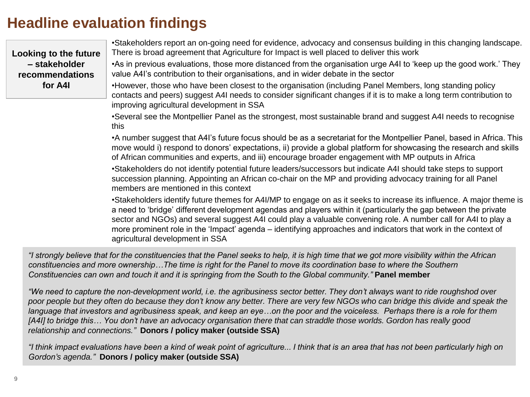**Looking to the future – stakeholder recommendations for A4I**

•Stakeholders report an on-going need for evidence, advocacy and consensus building in this changing landscape. There is broad agreement that Agriculture for Impact is well placed to deliver this work

•As in previous evaluations, those more distanced from the organisation urge A4I to 'keep up the good work.' They value A4I's contribution to their organisations, and in wider debate in the sector

•However, those who have been closest to the organisation (including Panel Members, long standing policy contacts and peers) suggest A4I needs to consider significant changes if it is to make a long term contribution to improving agricultural development in SSA

•Several see the Montpellier Panel as the strongest, most sustainable brand and suggest A4I needs to recognise this

•A number suggest that A4I's future focus should be as a secretariat for the Montpellier Panel, based in Africa. This move would i) respond to donors' expectations, ii) provide a global platform for showcasing the research and skills of African communities and experts, and iii) encourage broader engagement with MP outputs in Africa

•Stakeholders do not identify potential future leaders/successors but indicate A4I should take steps to support succession planning. Appointing an African co-chair on the MP and providing advocacy training for all Panel members are mentioned in this context

•Stakeholders identify future themes for A4I/MP to engage on as it seeks to increase its influence. A major theme is a need to 'bridge' different development agendas and players within it (particularly the gap between the private sector and NGOs) and several suggest A4I could play a valuable convening role. A number call for A4I to play a more prominent role in the 'Impact' agenda – identifying approaches and indicators that work in the context of agricultural development in SSA

*"I strongly believe that for the constituencies that the Panel seeks to help, it is high time that we got more visibility within the African constituencies and more ownership…The time is right for the Panel to move its coordination base to where the Southern Constituencies can own and touch it and it is springing from the South to the Global community.*" **Panel member** 

*"We need to capture the non-development world, i.e. the agribusiness sector better. They don't always want to ride roughshod over poor people but they often do because they don't know any better. There are very few NGOs who can bridge this divide and speak the language that investors and agribusiness speak, and keep an eye…on the poor and the voiceless. Perhaps there is a role for them [A4I] to bridge this… You don't have an advocacy organisation there that can straddle those worlds. Gordon has really good relationship and connections."* **Donors / policy maker (outside SSA)** 

*"I think impact evaluations have been a kind of weak point of agriculture... I think that is an area that has not been particularly high on Gordon's agenda."* **Donors / policy maker (outside SSA)**